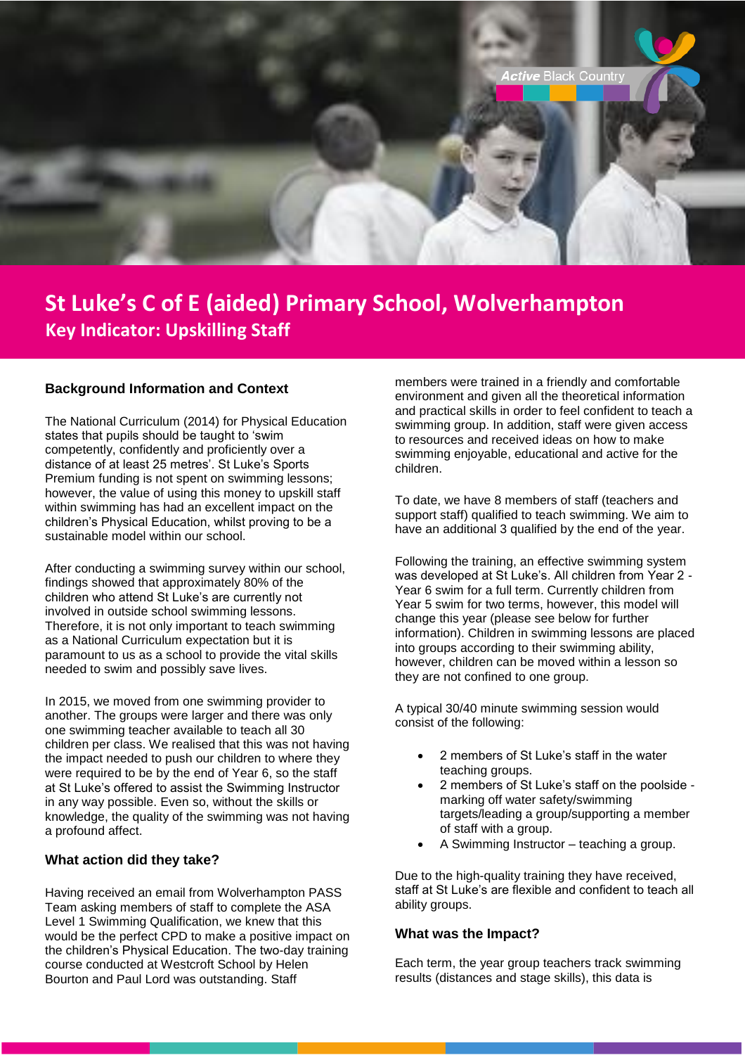

# **St Luke's C of E (aided) Primary School, Wolverhampton Key Indicator: Upskilling Staff**

### **Background Information and Context**

The National Curriculum (2014) for Physical Education states that pupils should be taught to 'swim competently, confidently and proficiently over a distance of at least 25 metres'. St Luke's Sports Premium funding is not spent on swimming lessons; however, the value of using this money to upskill staff within swimming has had an excellent impact on the children's Physical Education, whilst proving to be a sustainable model within our school.

After conducting a swimming survey within our school, findings showed that approximately 80% of the children who attend St Luke's are currently not involved in outside school swimming lessons. Therefore, it is not only important to teach swimming as a National Curriculum expectation but it is paramount to us as a school to provide the vital skills needed to swim and possibly save lives.

In 2015, we moved from one swimming provider to another. The groups were larger and there was only one swimming teacher available to teach all 30 children per class. We realised that this was not having the impact needed to push our children to where they were required to be by the end of Year 6, so the staff at St Luke's offered to assist the Swimming Instructor in any way possible. Even so, without the skills or knowledge, the quality of the swimming was not having a profound affect.

#### **What action did they take?**

Having received an email from Wolverhampton PASS Team asking members of staff to complete the ASA Level 1 Swimming Qualification, we knew that this would be the perfect CPD to make a positive impact on the children's Physical Education. The two-day training course conducted at Westcroft School by Helen Bourton and Paul Lord was outstanding. Staff

members were trained in a friendly and comfortable environment and given all the theoretical information and practical skills in order to feel confident to teach a swimming group. In addition, staff were given access to resources and received ideas on how to make swimming enjoyable, educational and active for the children.

To date, we have 8 members of staff (teachers and support staff) qualified to teach swimming. We aim to have an additional 3 qualified by the end of the year.

Following the training, an effective swimming system was developed at St Luke's. All children from Year 2 - Year 6 swim for a full term. Currently children from Year 5 swim for two terms, however, this model will change this year (please see below for further information). Children in swimming lessons are placed into groups according to their swimming ability, however, children can be moved within a lesson so they are not confined to one group.

A typical 30/40 minute swimming session would consist of the following:

- 2 members of St Luke's staff in the water teaching groups.
- 2 members of St Luke's staff on the poolside marking off water safety/swimming targets/leading a group/supporting a member of staff with a group.
- A Swimming Instructor teaching a group.

Due to the high-quality training they have received, staff at St Luke's are flexible and confident to teach all ability groups.

#### **What was the Impact?**

Each term, the year group teachers track swimming results (distances and stage skills), this data is